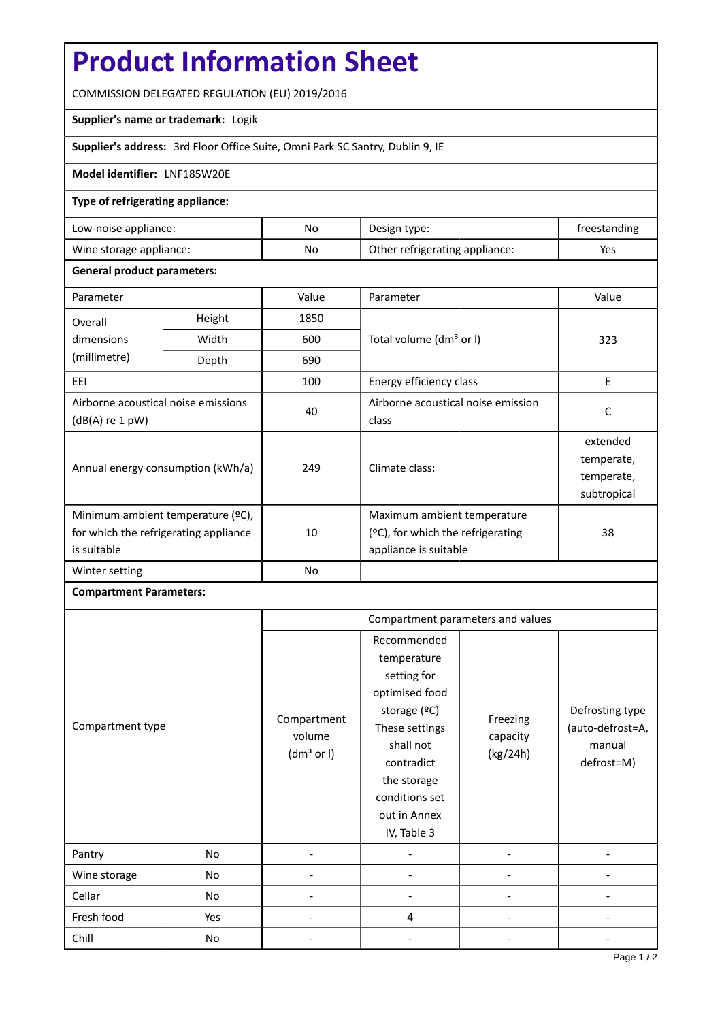# **Product Information Sheet**

COMMISSION DELEGATED REGULATION (EU) 2019/2016

### **Supplier's name or trademark:** Logik

**Supplier's address:** 3rd Floor Office Suite, Omni Park SC Santry, Dublin 9, IE

#### **Model identifier:** LNF185W20E

#### **Type of refrigerating appliance:**

| Low-noise appliance:    | No  | Design type:                   | treestanding |
|-------------------------|-----|--------------------------------|--------------|
| Wine storage appliance: | No. | Other refrigerating appliance: | Yes          |

#### **General product parameters:**

| Parameter                                                                                 |        | Value | Parameter                                                                                    | Value                                               |
|-------------------------------------------------------------------------------------------|--------|-------|----------------------------------------------------------------------------------------------|-----------------------------------------------------|
| Overall                                                                                   | Height | 1850  |                                                                                              | 323                                                 |
| dimensions<br>(millimetre)                                                                | Width  | 600   | Total volume (dm <sup>3</sup> or I)                                                          |                                                     |
|                                                                                           | Depth  | 690   |                                                                                              |                                                     |
| EEI                                                                                       |        | 100   | Energy efficiency class                                                                      | E                                                   |
| Airborne acoustical noise emissions<br>(dB(A) re 1 pW)                                    |        | 40    | Airborne acoustical noise emission<br>class                                                  | C                                                   |
| Annual energy consumption (kWh/a)                                                         |        | 249   | Climate class:                                                                               | extended<br>temperate,<br>temperate,<br>subtropical |
| Minimum ambient temperature (°C),<br>for which the refrigerating appliance<br>is suitable |        | 10    | Maximum ambient temperature<br>$(2C)$ , for which the refrigerating<br>appliance is suitable | 38                                                  |
| Winter setting                                                                            |        | No    |                                                                                              |                                                     |

## **Compartment Parameters:**

|                  |     | Compartment parameters and values               |                                                                                                                                                                                          |                                  |                                                             |
|------------------|-----|-------------------------------------------------|------------------------------------------------------------------------------------------------------------------------------------------------------------------------------------------|----------------------------------|-------------------------------------------------------------|
| Compartment type |     | Compartment<br>volume<br>(dm <sup>3</sup> or I) | Recommended<br>temperature<br>setting for<br>optimised food<br>storage (°C)<br>These settings<br>shall not<br>contradict<br>the storage<br>conditions set<br>out in Annex<br>IV, Table 3 | Freezing<br>capacity<br>(kg/24h) | Defrosting type<br>(auto-defrost=A,<br>manual<br>defrost=M) |
| Pantry           | No  |                                                 |                                                                                                                                                                                          |                                  |                                                             |
| Wine storage     | No  |                                                 |                                                                                                                                                                                          |                                  |                                                             |
| Cellar           | No  |                                                 |                                                                                                                                                                                          |                                  |                                                             |
| Fresh food       | Yes |                                                 | $\overline{4}$                                                                                                                                                                           |                                  |                                                             |
| Chill            | No  |                                                 |                                                                                                                                                                                          |                                  |                                                             |